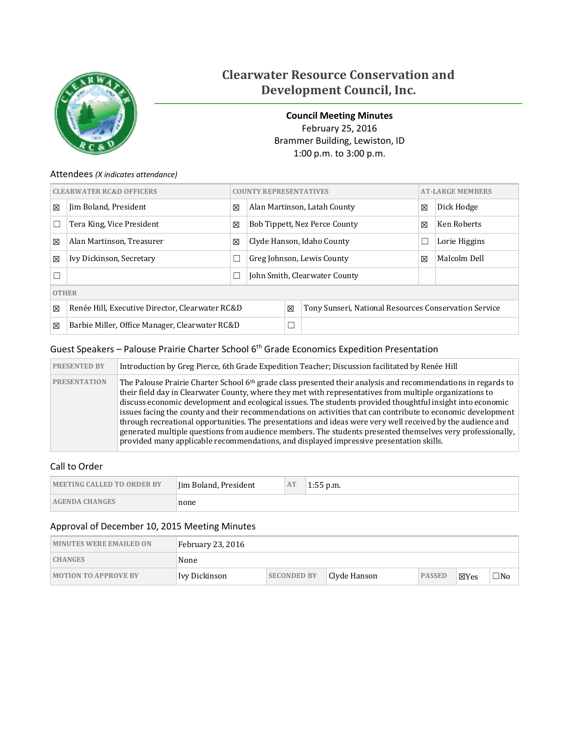

# **Clearwater Resource Conservation and Development Council, Inc.**

<span id="page-0-0"></span>**Council Meeting Minutes** February 25, 2016 Brammer Building, Lewiston, ID 1:00 p.m. to 3:00 p.m.

### Attendees *(X indicates attendance)*

| <b>CLEARWATER RC&amp;D OFFICERS</b> |                                                 |   | <b>COUNTY REPRESENTATIVES</b>      |        |                                                       |   | <b>AT-LARGE MEMBERS</b> |  |
|-------------------------------------|-------------------------------------------------|---|------------------------------------|--------|-------------------------------------------------------|---|-------------------------|--|
| X                                   | Jim Boland, President                           | 区 |                                    |        | Alan Martinson, Latah County                          | 区 | Dick Hodge              |  |
| □                                   | Tera King, Vice President                       | X | Bob Tippett, Nez Perce County<br>冈 |        |                                                       |   | Ken Roberts             |  |
| X                                   | Alan Martinson, Treasurer                       | X | Clyde Hanson, Idaho County         |        |                                                       | ⊏ | Lorie Higgins           |  |
| X                                   | Ivy Dickinson, Secretary                        |   | Greg Johnson, Lewis County         |        |                                                       | X | Malcolm Dell            |  |
| $\Box$                              |                                                 |   | John Smith, Clearwater County      |        |                                                       |   |                         |  |
| <b>OTHER</b>                        |                                                 |   |                                    |        |                                                       |   |                         |  |
| X                                   | Renée Hill, Executive Director, Clearwater RC&D |   |                                    | X      | Tony Sunseri, National Resources Conservation Service |   |                         |  |
| X                                   | Barbie Miller, Office Manager, Clearwater RC&D  |   |                                    | $\Box$ |                                                       |   |                         |  |

# Guest Speakers – Palouse Prairie Charter School 6<sup>th</sup> Grade Economics Expedition Presentation

| <b>PRESENTED BY</b> | Introduction by Greg Pierce, 6th Grade Expedition Teacher; Discussion facilitated by Renée Hill                                                                                                                                                                                                                                                                                                                                                                                                                                                                                                                                                                                                                                                                                             |
|---------------------|---------------------------------------------------------------------------------------------------------------------------------------------------------------------------------------------------------------------------------------------------------------------------------------------------------------------------------------------------------------------------------------------------------------------------------------------------------------------------------------------------------------------------------------------------------------------------------------------------------------------------------------------------------------------------------------------------------------------------------------------------------------------------------------------|
| <b>PRESENTATION</b> | The Palouse Prairie Charter School 6 <sup>th</sup> grade class presented their analysis and recommendations in regards to<br>their field day in Clearwater County, where they met with representatives from multiple organizations to<br>discuss economic development and ecological issues. The students provided thoughtful insight into economic<br>issues facing the county and their recommendations on activities that can contribute to economic development<br>through recreational opportunities. The presentations and ideas were very well received by the audience and<br>generated multiple questions from audience members. The students presented themselves very professionally,<br>provided many applicable recommendations, and displayed impressive presentation skills. |

## Call to Order

| <b>MEETING CALLED TO ORDER BY</b> | I im Boland, President | AT | $1:55$ p.m. |
|-----------------------------------|------------------------|----|-------------|
| <b>AGENDA CHANGES</b>             | none                   |    |             |

# Approval of December 10, 2015 Meeting Minutes

| <b>MINUTES WERE EMAILED ON</b> | February 23, 2016 |                    |              |               |      |           |
|--------------------------------|-------------------|--------------------|--------------|---------------|------|-----------|
| <b>CHANGES</b>                 | None              |                    |              |               |      |           |
| <b>MOTION TO APPROVE BY</b>    | Ivy Dickinson     | <b>SECONDED BY</b> | Clyde Hanson | <b>PASSED</b> | ⊠Yes | $\neg$ No |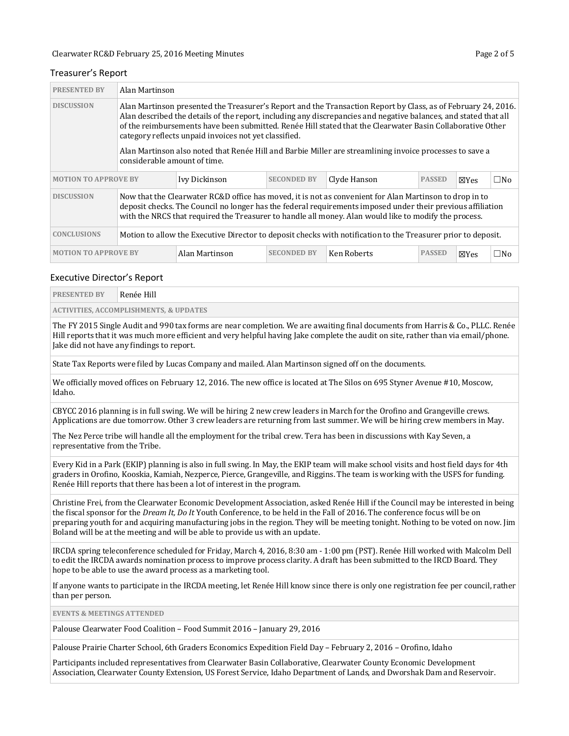#### Treasurer's Report

| <b>PRESENTED BY</b>                                                                                                                                                                                                                                                                                                                                  | Alan Martinson               |                                                       |                    |                                                                                                                                                                                                                                                                                                                                                                                                                                                             |               |                 |              |
|------------------------------------------------------------------------------------------------------------------------------------------------------------------------------------------------------------------------------------------------------------------------------------------------------------------------------------------------------|------------------------------|-------------------------------------------------------|--------------------|-------------------------------------------------------------------------------------------------------------------------------------------------------------------------------------------------------------------------------------------------------------------------------------------------------------------------------------------------------------------------------------------------------------------------------------------------------------|---------------|-----------------|--------------|
| <b>DISCUSSION</b>                                                                                                                                                                                                                                                                                                                                    | considerable amount of time. | category reflects unpaid invoices not yet classified. |                    | Alan Martinson presented the Treasurer's Report and the Transaction Report by Class, as of February 24, 2016.<br>Alan described the details of the report, including any discrepancies and negative balances, and stated that all<br>of the reimbursements have been submitted. Renée Hill stated that the Clearwater Basin Collaborative Other<br>Alan Martinson also noted that Renée Hill and Barbie Miller are streamlining invoice processes to save a |               |                 |              |
| <b>MOTION TO APPROVE BY</b>                                                                                                                                                                                                                                                                                                                          |                              | Ivy Dickinson                                         | <b>SECONDED BY</b> | Clyde Hanson                                                                                                                                                                                                                                                                                                                                                                                                                                                | <b>PASSED</b> | $\boxtimes$ Yes | $\square$ No |
| <b>DISCUSSION</b><br>Now that the Clearwater RC&D office has moved, it is not as convenient for Alan Martinson to drop in to<br>deposit checks. The Council no longer has the federal requirements imposed under their previous affiliation<br>with the NRCS that required the Treasurer to handle all money. Alan would like to modify the process. |                              |                                                       |                    |                                                                                                                                                                                                                                                                                                                                                                                                                                                             |               |                 |              |
| <b>CONCLUSIONS</b>                                                                                                                                                                                                                                                                                                                                   |                              |                                                       |                    | Motion to allow the Executive Director to deposit checks with notification to the Treasurer prior to deposit.                                                                                                                                                                                                                                                                                                                                               |               |                 |              |
| <b>MOTION TO APPROVE BY</b>                                                                                                                                                                                                                                                                                                                          |                              | Alan Martinson                                        | <b>SECONDED BY</b> | Ken Roberts                                                                                                                                                                                                                                                                                                                                                                                                                                                 | <b>PASSED</b> | $\boxtimes$ Yes | $\square$ No |

#### Executive Director's Report

| <b>PRESENTED BY</b> | Renée Hill                                        |  |  |  |  |  |  |  |
|---------------------|---------------------------------------------------|--|--|--|--|--|--|--|
|                     | <b>ACTIVITIES, ACCOMPLISHMENTS, &amp; UPDATES</b> |  |  |  |  |  |  |  |

The FY 2015 Single Audit and 990 tax forms are near completion. We are awaiting final documents from Harris & Co., PLLC. Renée Hill reports that it was much more efficient and very helpful having Jake complete the audit on site, rather than via email/phone. Jake did not have any findings to report.

State Tax Reports were filed by Lucas Company and mailed. Alan Martinson signed off on the documents.

We officially moved offices on February 12, 2016. The new office is located at The Silos on 695 Styner Avenue #10, Moscow, Idaho.

CBYCC 2016 planning is in full swing. We will be hiring 2 new crew leaders in March for the Orofino and Grangeville crews. Applications are due tomorrow. Other 3 crew leaders are returning from last summer. We will be hiring crew members in May.

The Nez Perce tribe will handle all the employment for the tribal crew. Tera has been in discussions with Kay Seven, a representative from the Tribe.

Every Kid in a Park (EKIP) planning is also in full swing. In May, the EKIP team will make school visits and host field days for 4th graders in Orofino, Kooskia, Kamiah, Nezperce, Pierce, Grangeville, and Riggins. The team is working with the USFS for funding. Renée Hill reports that there has been a lot of interest in the program.

Christine Frei, from the Clearwater Economic Development Association, asked Renée Hill if the Council may be interested in being the fiscal sponsor for the *Dream It, Do It* Youth Conference, to be held in the Fall of 2016. The conference focus will be on preparing youth for and acquiring manufacturing jobs in the region. They will be meeting tonight. Nothing to be voted on now. Jim Boland will be at the meeting and will be able to provide us with an update.

IRCDA spring teleconference scheduled for Friday, March 4, 2016, 8:30 am - 1:00 pm (PST). Renée Hill worked with Malcolm Dell to edit the IRCDA awards nomination process to improve process clarity. A draft has been submitted to the IRCD Board. They hope to be able to use the award process as a marketing tool.

If anyone wants to participate in the IRCDA meeting, let Renée Hill know since there is only one registration fee per council, rather than per person.

**EVENTS & MEETINGS ATTENDED**

Palouse Clearwater Food Coalition – Food Summit 2016 – January 29, 2016

Palouse Prairie Charter School, 6th Graders Economics Expedition Field Day – February 2, 2016 – Orofino, Idaho

Participants included representatives from Clearwater Basin Collaborative, Clearwater County Economic Development Association, Clearwater County Extension, US Forest Service, Idaho Department of Lands, and Dworshak Dam and Reservoir.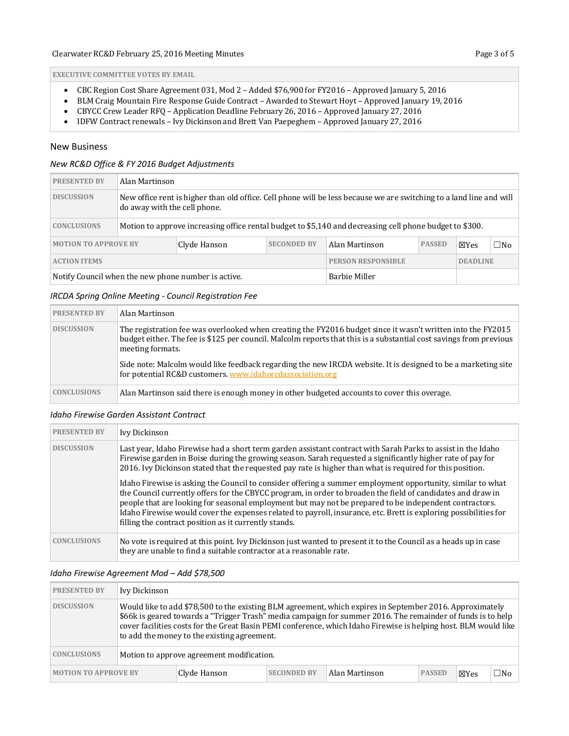**EXECUTIVE COMMITTEE VOTES BY EMAIL**

- CBC Region Cost Share Agreement 031, Mod 2 Added \$76,900 for FY2016 Approved January 5, 2016
- BLM Craig Mountain Fire Response Guide Contract Awarded to Stewart Hoyt Approved January 19, 2016<br>• CBYCC Crew Leader RFO Application Deadline February 26, 2016 Approved January 27, 2016
- CBYCC Crew Leader RFQ Application Deadline February 26, 2016 Approved January 27, 2016<br>• IDFW Contract renewals Ivy Dickinson and Brett Van Paepeghem Approved January 27, 2016
- IDFW Contract renewals Ivy Dickinson and Brett Van Paepeghem Approved January 27, 2016

#### New Business

#### *New RC&D Office & FY 2016 Budget Adjustments*

| <b>PRESENTED BY</b>                                 | Alan Martinson |                                                                                                                                                     |                    |                           |               |                 |     |  |  |  |
|-----------------------------------------------------|----------------|-----------------------------------------------------------------------------------------------------------------------------------------------------|--------------------|---------------------------|---------------|-----------------|-----|--|--|--|
| <b>DISCUSSION</b>                                   |                | New office rent is higher than old office. Cell phone will be less because we are switching to a land line and will<br>do away with the cell phone. |                    |                           |               |                 |     |  |  |  |
| <b>CONCLUSIONS</b>                                  |                | Motion to approve increasing office rental budget to \$5,140 and decreasing cell phone budget to \$300.                                             |                    |                           |               |                 |     |  |  |  |
| <b>MOTION TO APPROVE BY</b><br>Clyde Hanson         |                |                                                                                                                                                     | <b>SECONDED BY</b> | Alan Martinson            | <b>PASSED</b> | ⊠Yes            | □No |  |  |  |
| <b>ACTION ITEMS</b>                                 |                |                                                                                                                                                     |                    | <b>PERSON RESPONSIBLE</b> |               | <b>DEADLINE</b> |     |  |  |  |
| Notify Council when the new phone number is active. |                |                                                                                                                                                     |                    | Barbie Miller             |               |                 |     |  |  |  |

#### *IRCDA Spring Online Meeting - Council Registration Fee*

| <b>PRESENTED BY</b> | Alan Martinson                                                                                                                                                                                                                                        |
|---------------------|-------------------------------------------------------------------------------------------------------------------------------------------------------------------------------------------------------------------------------------------------------|
| <b>DISCUSSION</b>   | The registration fee was overlooked when creating the FY2016 budget since it wasn't written into the FY2015<br>budget either. The fee is \$125 per council. Malcolm reports that this is a substantial cost savings from previous<br>meeting formats. |
|                     | Side note: Malcolm would like feedback regarding the new IRCDA website. It is designed to be a marketing site<br>for potential RC&D customers. www.idahorcdassociation.org                                                                            |
| <b>CONCLUSIONS</b>  | Alan Martinson said there is enough money in other budgeted accounts to cover this overage.                                                                                                                                                           |

#### *Idaho Firewise Garden Assistant Contract*

| <b>PRESENTED BY</b> | Ivy Dickinson                                                                                                                                                                                                                                                                                                                                                                                                                                                                                                    |
|---------------------|------------------------------------------------------------------------------------------------------------------------------------------------------------------------------------------------------------------------------------------------------------------------------------------------------------------------------------------------------------------------------------------------------------------------------------------------------------------------------------------------------------------|
| <b>DISCUSSION</b>   | Last year, Idaho Firewise had a short term garden assistant contract with Sarah Parks to assist in the Idaho<br>Firewise garden in Boise during the growing season. Sarah requested a significantly higher rate of pay for<br>2016. Ivy Dickinson stated that the requested pay rate is higher than what is required for this position.                                                                                                                                                                          |
|                     | Idaho Firewise is asking the Council to consider offering a summer employment opportunity, similar to what<br>the Council currently offers for the CBYCC program, in order to broaden the field of candidates and draw in<br>people that are looking for seasonal employment but may not be prepared to be independent contractors.<br>Idaho Firewise would cover the expenses related to payroll, insurance, etc. Brett is exploring possibilities for<br>filling the contract position as it currently stands. |
| <b>CONCLUSIONS</b>  | No vote is required at this point. Ivy Dickinson just wanted to present it to the Council as a heads up in case<br>they are unable to find a suitable contractor at a reasonable rate.                                                                                                                                                                                                                                                                                                                           |

#### *Idaho Firewise Agreement Mod – Add \$78,500*

| <b>PRESENTED BY</b>                                                                 | Ivy Dickinson                                                                                                                                                                                                                                                                                                                                                                              |                                           |      |              |  |  |  |
|-------------------------------------------------------------------------------------|--------------------------------------------------------------------------------------------------------------------------------------------------------------------------------------------------------------------------------------------------------------------------------------------------------------------------------------------------------------------------------------------|-------------------------------------------|------|--------------|--|--|--|
| <b>DISCUSSION</b>                                                                   | Would like to add \$78,500 to the existing BLM agreement, which expires in September 2016. Approximately<br>\$66k is geared towards a "Trigger Trash" media campaign for summer 2016. The remainder of funds is to help<br>cover facilities costs for the Great Basin PEMI conference, which Idaho Firewise is helping host. BLM would like<br>to add the money to the existing agreement. |                                           |      |              |  |  |  |
| <b>CONCLUSIONS</b>                                                                  |                                                                                                                                                                                                                                                                                                                                                                                            | Motion to approve agreement modification. |      |              |  |  |  |
| Alan Martinson<br><b>MOTION TO APPROVE BY</b><br>Clyde Hanson<br><b>SECONDED BY</b> |                                                                                                                                                                                                                                                                                                                                                                                            | <b>PASSED</b>                             | ⊠Yes | $\square$ No |  |  |  |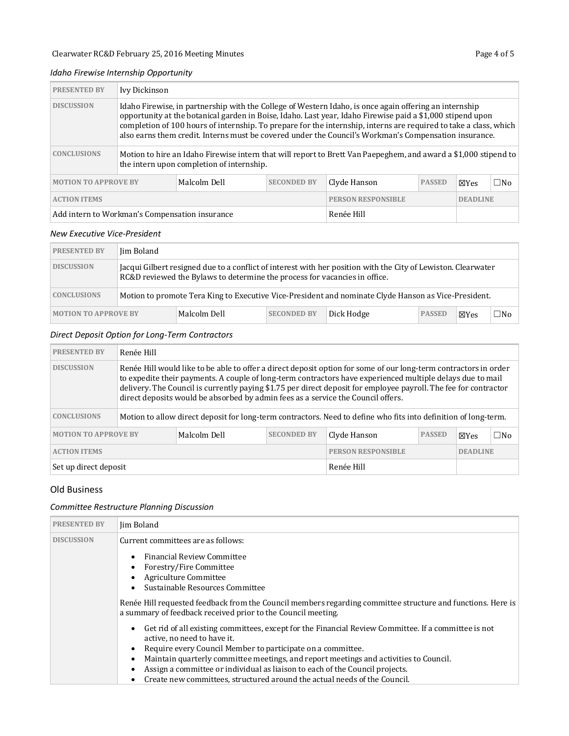### *Idaho Firewise Internship Opportunity*

| <b>PRESENTED BY</b>                                                                                                                                                                                                                                                                                                                                                                                                                                                     | Ivy Dickinson                                                                                                                                                |              |                    |                           |               |                 |     |  |  |
|-------------------------------------------------------------------------------------------------------------------------------------------------------------------------------------------------------------------------------------------------------------------------------------------------------------------------------------------------------------------------------------------------------------------------------------------------------------------------|--------------------------------------------------------------------------------------------------------------------------------------------------------------|--------------|--------------------|---------------------------|---------------|-----------------|-----|--|--|
| <b>DISCUSSION</b><br>Idaho Firewise, in partnership with the College of Western Idaho, is once again offering an internship<br>opportunity at the botanical garden in Boise, Idaho. Last year, Idaho Firewise paid a \$1,000 stipend upon<br>completion of 100 hours of internship. To prepare for the internship, interns are required to take a class, which<br>also earns them credit. Interns must be covered under the Council's Workman's Compensation insurance. |                                                                                                                                                              |              |                    |                           |               |                 |     |  |  |
| <b>CONCLUSIONS</b>                                                                                                                                                                                                                                                                                                                                                                                                                                                      | Motion to hire an Idaho Firewise intern that will report to Brett Van Paepeghem, and award a \$1,000 stipend to<br>the intern upon completion of internship. |              |                    |                           |               |                 |     |  |  |
| <b>MOTION TO APPROVE BY</b>                                                                                                                                                                                                                                                                                                                                                                                                                                             |                                                                                                                                                              | Malcolm Dell | <b>SECONDED BY</b> | Clyde Hanson              | <b>PASSED</b> | ⊠Yes            | □No |  |  |
| <b>ACTION ITEMS</b>                                                                                                                                                                                                                                                                                                                                                                                                                                                     |                                                                                                                                                              |              |                    | <b>PERSON RESPONSIBLE</b> |               | <b>DEADLINE</b> |     |  |  |
| Add intern to Workman's Compensation insurance                                                                                                                                                                                                                                                                                                                                                                                                                          |                                                                                                                                                              |              |                    | Renée Hill                |               |                 |     |  |  |

#### *New Executive Vice-President*

| <b>PRESENTED BY</b>         | Iim Boland |                                                                                                                                                                                             |                    |                                                                                                      |               |              |     |  |
|-----------------------------|------------|---------------------------------------------------------------------------------------------------------------------------------------------------------------------------------------------|--------------------|------------------------------------------------------------------------------------------------------|---------------|--------------|-----|--|
| <b>DISCUSSION</b>           |            | Jacqui Gilbert resigned due to a conflict of interest with her position with the City of Lewiston. Clearwater<br>RC&D reviewed the Bylaws to determine the process for vacancies in office. |                    |                                                                                                      |               |              |     |  |
| <b>CONCLUSIONS</b>          |            |                                                                                                                                                                                             |                    | Motion to promote Tera King to Executive Vice-President and nominate Clyde Hanson as Vice-President. |               |              |     |  |
| <b>MOTION TO APPROVE BY</b> |            | Malcolm Dell                                                                                                                                                                                | <b>SECONDED BY</b> | Dick Hodge                                                                                           | <b>PASSED</b> | <b>X</b> Yes | □No |  |

### *Direct Deposit Option for Long-Term Contractors*

| <b>PRESENTED BY</b>                                               | Renée Hill                                                                                                                                                                                                                                                                                                                                                                                                                             |              |                           |      |                 |  |  |
|-------------------------------------------------------------------|----------------------------------------------------------------------------------------------------------------------------------------------------------------------------------------------------------------------------------------------------------------------------------------------------------------------------------------------------------------------------------------------------------------------------------------|--------------|---------------------------|------|-----------------|--|--|
| <b>DISCUSSION</b>                                                 | Renée Hill would like to be able to offer a direct deposit option for some of our long-term contractors in order<br>to expedite their payments. A couple of long-term contractors have experienced multiple delays due to mail<br>delivery. The Council is currently paying \$1.75 per direct deposit for employee payroll. The fee for contractor<br>direct deposits would be absorbed by admin fees as a service the Council offers. |              |                           |      |                 |  |  |
| <b>CONCLUSIONS</b>                                                | Motion to allow direct deposit for long-term contractors. Need to define who fits into definition of long-term.                                                                                                                                                                                                                                                                                                                        |              |                           |      |                 |  |  |
| <b>MOTION TO APPROVE BY</b><br><b>SECONDED BY</b><br>Malcolm Dell |                                                                                                                                                                                                                                                                                                                                                                                                                                        | Clyde Hanson | <b>PASSED</b>             | ⊠Yes | $\square$ No    |  |  |
| <b>ACTION ITEMS</b>                                               |                                                                                                                                                                                                                                                                                                                                                                                                                                        |              | <b>PERSON RESPONSIBLE</b> |      | <b>DEADLINE</b> |  |  |
| Set up direct deposit                                             |                                                                                                                                                                                                                                                                                                                                                                                                                                        |              | Renée Hill                |      |                 |  |  |

### Old Business

### *Committee Restructure Planning Discussion*

| <b>PRESENTED BY</b> | Jim Boland                                                                                                                                                                                                                                                                                  |  |  |  |
|---------------------|---------------------------------------------------------------------------------------------------------------------------------------------------------------------------------------------------------------------------------------------------------------------------------------------|--|--|--|
| <b>DISCUSSION</b>   | Current committees are as follows:                                                                                                                                                                                                                                                          |  |  |  |
|                     | <b>Financial Review Committee</b><br>Forestry/Fire Committee<br>$\bullet$<br>Agriculture Committee<br>Sustainable Resources Committee                                                                                                                                                       |  |  |  |
|                     | Renée Hill requested feedback from the Council members regarding committee structure and functions. Here is<br>a summary of feedback received prior to the Council meeting.                                                                                                                 |  |  |  |
|                     | Get rid of all existing committees, except for the Financial Review Committee. If a committee is not<br>active, no need to have it.<br>Require every Council Member to participate on a committee.<br>Maintain quarterly committee meetings, and report meetings and activities to Council. |  |  |  |
|                     | Assign a committee or individual as liaison to each of the Council projects.<br>Create new committees, structured around the actual needs of the Council.                                                                                                                                   |  |  |  |